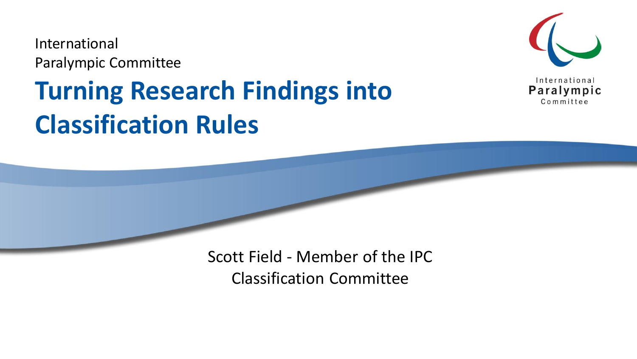International Paralympic Committee

### **Turning Research Findings into Classification Rules**



Scott Field - Member of the IPC Classification Committee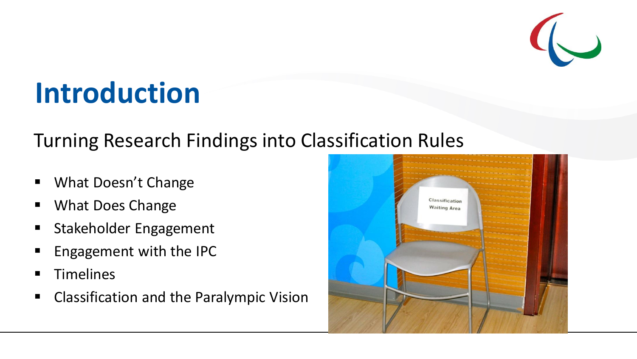

### **Introduction**

#### Turning Research Findings into Classification Rules

- What Doesn't Change
- What Does Change
- Stakeholder Engagement
- Engagement with the IPC
- **Timelines**
- Classification and the Paralympic Vision

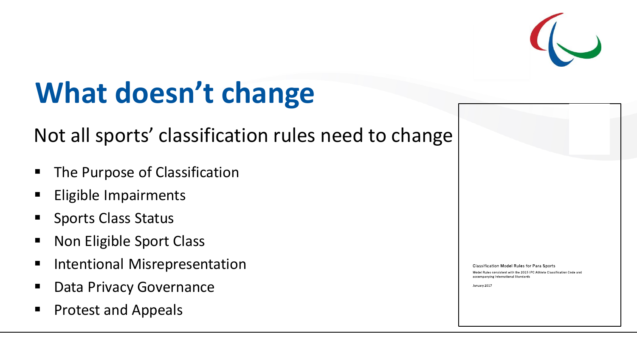

### **What doesn't change**

#### Not all sports' classification rules need to change

- The Purpose of Classification
- **Eligible Impairments**
- **Sports Class Status**
- Non Eligible Sport Class
- **Intentional Misrepresentation**
- Data Privacy Governance
- Protest and Appeals

Classification Model Rules for Para Sports

Model Rules consistent with the 2015 IPC Athlete Classification Code and accompanying International Standards

January 2017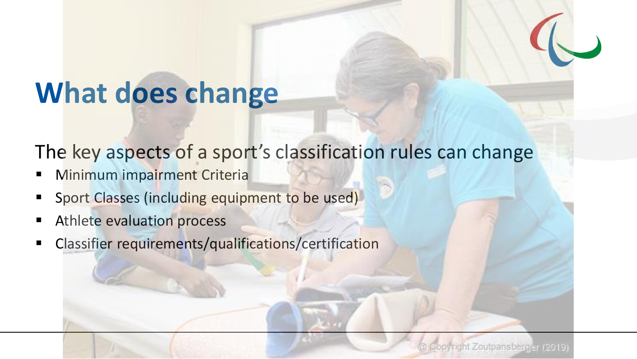### **What does change**

The key aspects of a sport's classification rules can change

- **Minimum impairment Criteria**
- Sport Classes (including equipment to be used)
- Athlete evaluation process
- Classifier requirements/qualifications/certification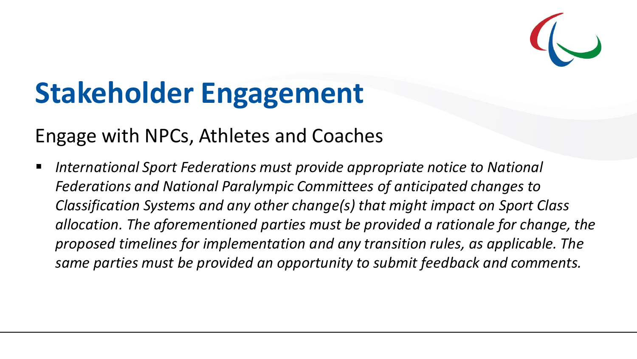

### **Stakeholder Engagement**

#### Engage with NPCs, Athletes and Coaches

■ *International Sport Federations must provide appropriate notice to National Federations and National Paralympic Committees of anticipated changes to Classification Systems and any other change(s) that might impact on Sport Class allocation. The aforementioned parties must be provided a rationale for change, the proposed timelines for implementation and any transition rules, as applicable. The same parties must be provided an opportunity to submit feedback and comments.*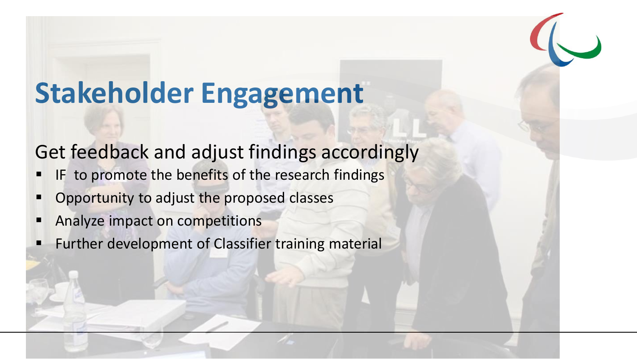### **Stakeholder Engagement**

### Get feedback and adjust findings accordingly

- IF to promote the benefits of the research findings
- Opportunity to adjust the proposed classes
- Analyze impact on competitions
- Further development of Classifier training material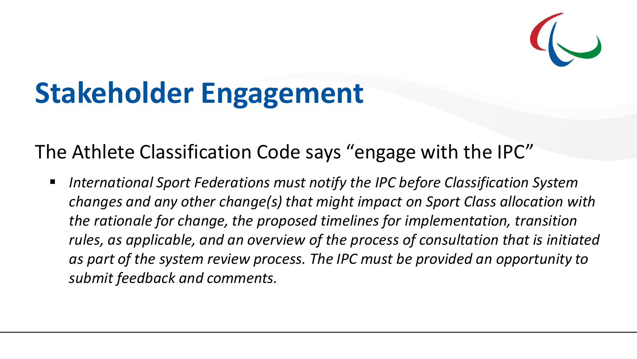

### **Stakeholder Engagement**

The Athlete Classification Code says "engage with the IPC"

■ *International Sport Federations must notify the IPC before Classification System changes and any other change(s) that might impact on Sport Class allocation with the rationale for change, the proposed timelines for implementation, transition rules, as applicable, and an overview of the process of consultation that is initiated as part of the system review process. The IPC must be provided an opportunity to submit feedback and comments.*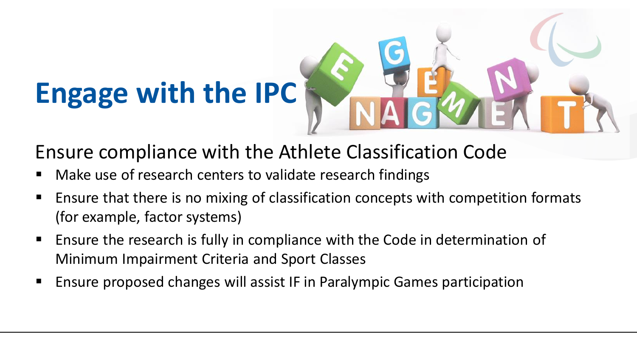# **Engage with the IPC**

#### Ensure compliance with the Athlete Classification Code

- Make use of research centers to validate research findings
- Ensure that there is no mixing of classification concepts with competition formats (for example, factor systems)
- Ensure the research is fully in compliance with the Code in determination of Minimum Impairment Criteria and Sport Classes
- **E** Ensure proposed changes will assist IF in Paralympic Games participation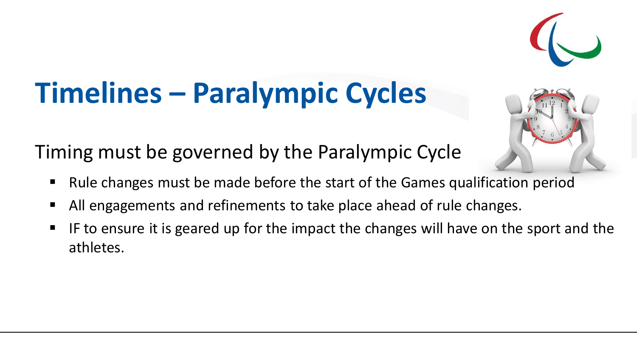## **Timelines – Paralympic Cycles**

Timing must be governed by the Paralympic Cycle

- Rule changes must be made before the start of the Games qualification period
- All engagements and refinements to take place ahead of rule changes.
- IF to ensure it is geared up for the impact the changes will have on the sport and the athletes.



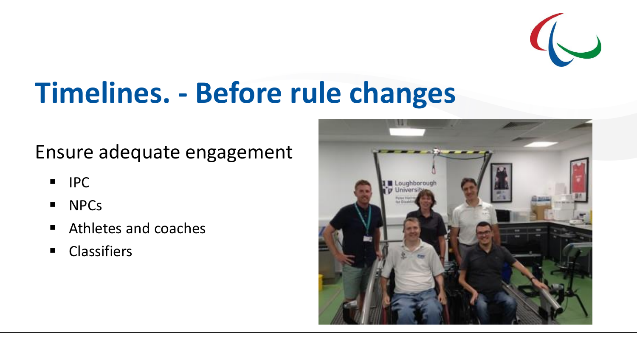

## **Timelines. - Before rule changes**

#### Ensure adequate engagement

- IPC
- NPCs
- Athletes and coaches
- Classifiers

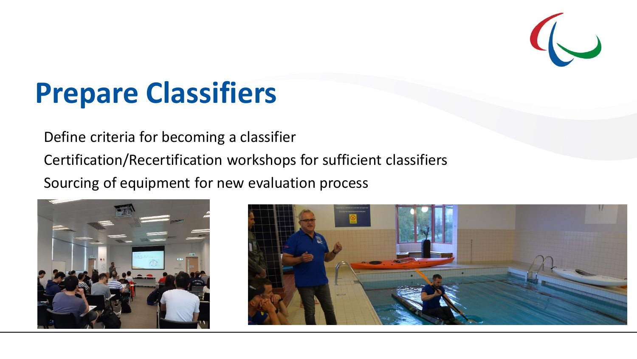

### **Prepare Classifiers**

Define criteria for becoming a classifier

Certification/Recertification workshops for sufficient classifiers

Sourcing of equipment for new evaluation process



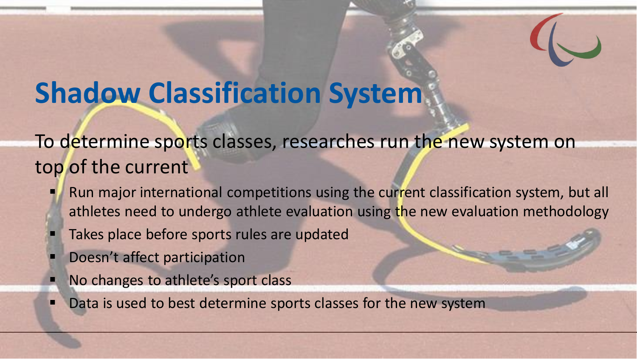### **Shadow Classification System**

To determine sports classes, researches run the new system on top of the current

- Run major international competitions using the current classification system, but all athletes need to undergo athlete evaluation using the new evaluation methodology
- Takes place before sports rules are updated
- Doesn't affect participation
- No changes to athlete's sport class
- Data is used to best determine sports classes for the new system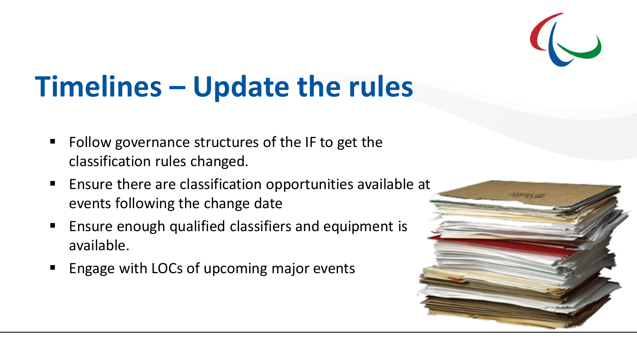

### **Timelines – Update the rules**

- Follow governance structures of the IF to get the classification rules changed.
- Ensure there are classification opportunities available at events following the change date
- Ensure enough qualified classifiers and equipment is available.
- Engage with LOCs of upcoming major events

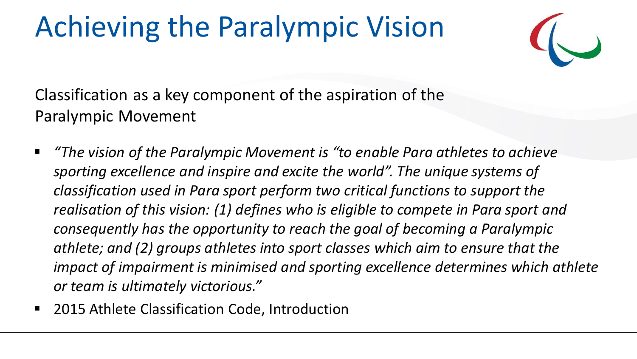### Achieving the Paralympic Vision



Classification as a key component of the aspiration of the Paralympic Movement

- *"The vision of the Paralympic Movement is "to enable Para athletes to achieve sporting excellence and inspire and excite the world". The unique systems of classification used in Para sport perform two critical functions to support the realisation of this vision: (1) defines who is eligible to compete in Para sport and consequently has the opportunity to reach the goal of becoming a Paralympic athlete; and (2) groups athletes into sport classes which aim to ensure that the impact of impairment is minimised and sporting excellence determines which athlete or team is ultimately victorious."*
- 2015 Athlete Classification Code, Introduction